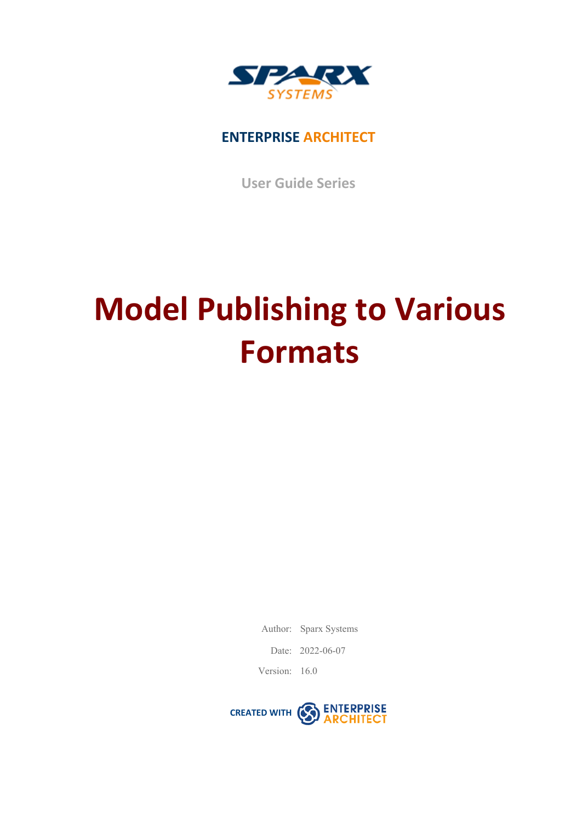

## **ENTERPRISE ARCHITECT**

**User Guide Series**

# **Model Publishing to Various Formats**

Author: Sparx Systems

Date: 2022-06-07

Version: 16.0

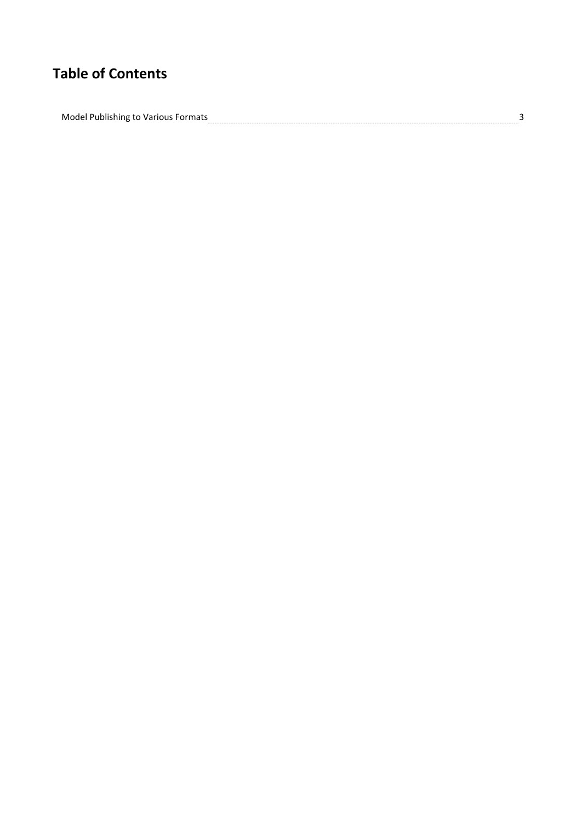## **Table of Contents**

Model Publishing to Various Formats 336 million content and the Various 34 million of the Various 35 million of the Various 35 million 36 million 36 million 36 million 36 million 36 million 36 million 36 million 36 million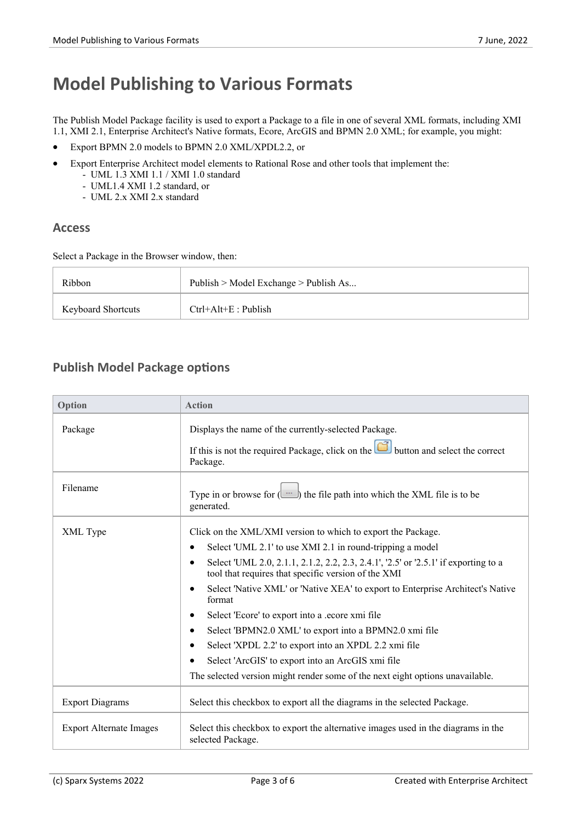# **Model Publishing to Various Formats**

The Publish Model Package facility is used to export a Package to a file in one of several XML formats, including XMI 1.1, XMI 2.1, Enterprise Architect's Native formats, Ecore, ArcGIS and BPMN 2.0 XML; for example, you might:

- · Export BPMN 2.0 models to BPMN 2.0 XML/XPDL2.2, or
- · Export Enterprise Architect model elements to Rational Rose and other tools that implement the:
	- UML 1.3 XMI 1.1 / XMI 1.0 standard
	- UML1.4 XMI 1.2 standard, or
	- UML 2.x XMI 2.x standard

### **Access**

Select a Package in the Browser window, then:

| Ribbon                    | Publish > Model Exchange > Publish As |
|---------------------------|---------------------------------------|
| <b>Keyboard Shortcuts</b> | $Ctrl+Alt+E$ : Publish                |

## **Publish Model Package options**

| Option                         | <b>Action</b>                                                                                                                                           |
|--------------------------------|---------------------------------------------------------------------------------------------------------------------------------------------------------|
| Package                        | Displays the name of the currently-selected Package.                                                                                                    |
|                                | If this is not the required Package, click on the $\boxed{\bullet}$ button and select the correct<br>Package.                                           |
| Filename                       | Type in or browse for $(\Box \Box)$ the file path into which the XML file is to be<br>generated.                                                        |
| XML Type                       | Click on the XML/XMI version to which to export the Package.                                                                                            |
|                                | Select 'UML 2.1' to use XMI 2.1 in round-tripping a model<br>٠                                                                                          |
|                                | Select 'UML 2.0, 2.1.1, 2.1.2, 2.2, 2.3, 2.4.1', '2.5' or '2.5.1' if exporting to a<br>$\bullet$<br>tool that requires that specific version of the XMI |
|                                | Select 'Native XML' or 'Native XEA' to export to Enterprise Architect's Native<br>format                                                                |
|                                | Select 'Ecore' to export into a .ecore xmi file<br>٠                                                                                                    |
|                                | Select 'BPMN2.0 XML' to export into a BPMN2.0 xmi file<br>٠                                                                                             |
|                                | Select 'XPDL 2.2' to export into an XPDL 2.2 xmi file                                                                                                   |
|                                | Select 'ArcGIS' to export into an ArcGIS xmi file                                                                                                       |
|                                | The selected version might render some of the next eight options unavailable.                                                                           |
| <b>Export Diagrams</b>         | Select this checkbox to export all the diagrams in the selected Package.                                                                                |
| <b>Export Alternate Images</b> | Select this checkbox to export the alternative images used in the diagrams in the<br>selected Package.                                                  |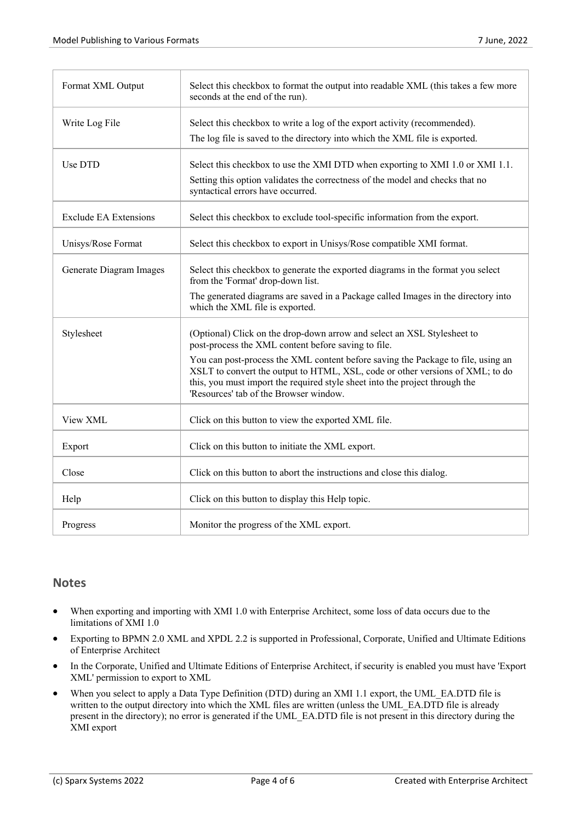| Format XML Output            | Select this checkbox to format the output into readable XML (this takes a few more<br>seconds at the end of the run).                                                                                                                                                                      |
|------------------------------|--------------------------------------------------------------------------------------------------------------------------------------------------------------------------------------------------------------------------------------------------------------------------------------------|
| Write Log File               | Select this checkbox to write a log of the export activity (recommended).<br>The log file is saved to the directory into which the XML file is exported.                                                                                                                                   |
| Use DTD                      | Select this checkbox to use the XMI DTD when exporting to XMI 1.0 or XMI 1.1.<br>Setting this option validates the correctness of the model and checks that no<br>syntactical errors have occurred.                                                                                        |
| <b>Exclude EA Extensions</b> | Select this checkbox to exclude tool-specific information from the export.                                                                                                                                                                                                                 |
| Unisys/Rose Format           | Select this checkbox to export in Unisys/Rose compatible XMI format.                                                                                                                                                                                                                       |
| Generate Diagram Images      | Select this checkbox to generate the exported diagrams in the format you select<br>from the 'Format' drop-down list.                                                                                                                                                                       |
|                              | The generated diagrams are saved in a Package called Images in the directory into<br>which the XML file is exported.                                                                                                                                                                       |
| Stylesheet                   | (Optional) Click on the drop-down arrow and select an XSL Stylesheet to<br>post-process the XML content before saving to file.                                                                                                                                                             |
|                              | You can post-process the XML content before saving the Package to file, using an<br>XSLT to convert the output to HTML, XSL, code or other versions of XML; to do<br>this, you must import the required style sheet into the project through the<br>'Resources' tab of the Browser window. |
| View XML                     | Click on this button to view the exported XML file.                                                                                                                                                                                                                                        |
| Export                       | Click on this button to initiate the XML export.                                                                                                                                                                                                                                           |
| Close                        | Click on this button to abort the instructions and close this dialog.                                                                                                                                                                                                                      |
| Help                         | Click on this button to display this Help topic.                                                                                                                                                                                                                                           |
| Progress                     | Monitor the progress of the XML export.                                                                                                                                                                                                                                                    |

### **Notes**

- When exporting and importing with XMI 1.0 with Enterprise Architect, some loss of data occurs due to the limitations ofXMI 1.0
- Exporting to BPMN 2.0 XML and XPDL 2.2 is supported in Professional, Corporate, Unified and Ultimate Editions of Enterprise Architect
- In the Corporate, Unified and Ultimate Editions of Enterprise Architect, if security is enabled you must have 'Export XML' permission to export to XML
- When you select to apply a Data Type Definition (DTD) during an XMI 1.1 export, the UML\_EA.DTD file is written to the output directory into which the XML files are written (unless the UML\_EA.DTD file is already present in the directory); no error is generated if the UML\_EA.DTD file is not present in this directory during the XMI export